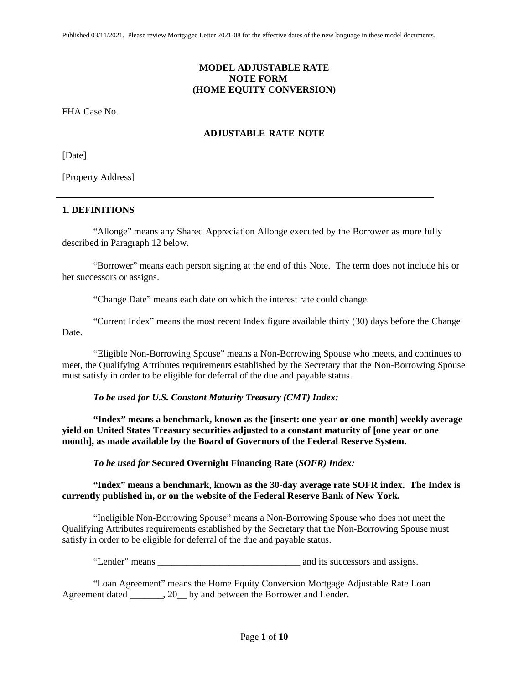# **MODEL ADJUSTABLE RATE NOTE FORM (HOME EQUITY CONVERSION)**

FHA Case No.

## **ADJUSTABLE RATE NOTE**

[Date]

[Property Address]

#### **1. DEFINITIONS**

"Allonge" means any Shared Appreciation Allonge executed by the Borrower as more fully described in Paragraph 12 below.

"Borrower" means each person signing at the end of this Note. The term does not include his or her successors or assigns.

"Change Date" means each date on which the interest rate could change.

"Current Index" means the most recent Index figure available thirty (30) days before the Change Date.

"Eligible Non-Borrowing Spouse" means a Non-Borrowing Spouse who meets, and continues to meet, the Qualifying Attributes requirements established by the Secretary that the Non-Borrowing Spouse must satisfy in order to be eligible for deferral of the due and payable status.

### *To be used for U.S. Constant Maturity Treasury (CMT) Index:*

**"Index" means a benchmark, known as the [insert: one-year or one-month] weekly average yield on United States Treasury securities adjusted to a constant maturity of [one year or one month], as made available by the Board of Governors of the Federal Reserve System.**

*To be used for* **Secured Overnight Financing Rate (***SOFR) Index:*

### **"Index" means a benchmark, known as the 30-day average rate SOFR index. The Index is currently published in, or on the website of the Federal Reserve Bank of New York.**

"Ineligible Non-Borrowing Spouse" means a Non-Borrowing Spouse who does not meet the Qualifying Attributes requirements established by the Secretary that the Non-Borrowing Spouse must satisfy in order to be eligible for deferral of the due and payable status.

"Lender" means  $\qquad \qquad$  and its successors and assigns.

"Loan Agreement" means the Home Equity Conversion Mortgage Adjustable Rate Loan Agreement dated \_\_\_\_\_\_\_, 20 \_\_ by and between the Borrower and Lender.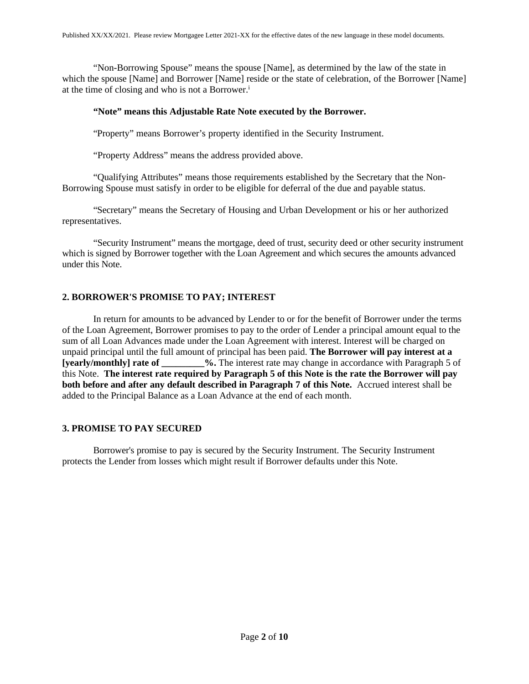"Non-Borrowing Spouse" means the spouse [Name], as determined by the law of the state in which the spouse [Name] and Borrower [Name] reside or the state of celebration, of the Borrower [Name] at the time of closing and who is not a Borrower.<sup>i</sup>

#### **"Note" means this Adjustable Rate Note executed by the Borrower.**

"Property" means Borrower's property identified in the Security Instrument.

"Property Address" means the address provided above.

"Qualifying Attributes" means those requirements established by the Secretary that the Non-Borrowing Spouse must satisfy in order to be eligible for deferral of the due and payable status.

"Secretary" means the Secretary of Housing and Urban Development or his or her authorized representatives.

"Security Instrument" means the mortgage, deed of trust, security deed or other security instrument which is signed by Borrower together with the Loan Agreement and which secures the amounts advanced under this Note.

### **2. BORROWER'S PROMISE TO PAY; INTEREST**

In return for amounts to be advanced by Lender to or for the benefit of Borrower under the terms of the Loan Agreement, Borrower promises to pay to the order of Lender a principal amount equal to the sum of all Loan Advances made under the Loan Agreement with interest. Interest will be charged on unpaid principal until the full amount of principal has been paid. **The Borrower will pay interest at a [29]**. The interest rate may change in accordance with Paragraph 5 of this Note. **The interest rate required by Paragraph 5 of this Note is the rate the Borrower will pay both before and after any default described in Paragraph 7 of this Note.** Accrued interest shall be added to the Principal Balance as a Loan Advance at the end of each month.

### **3. PROMISE TO PAY SECURED**

Borrower's promise to pay is secured by the Security Instrument. The Security Instrument protects the Lender from losses which might result if Borrower defaults under this Note.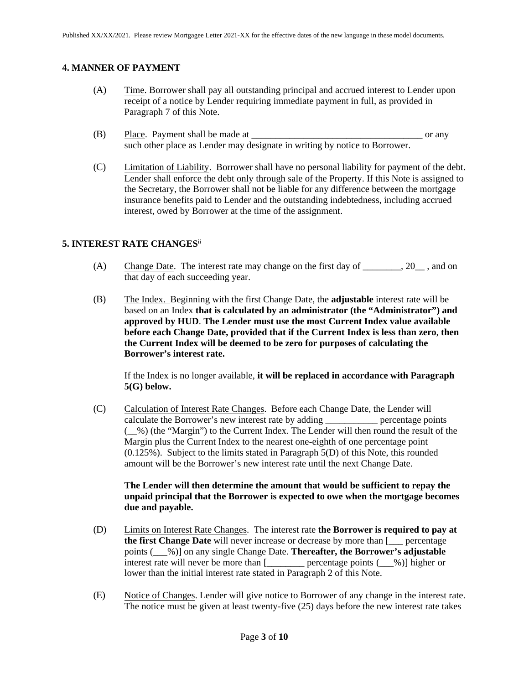# **4. MANNER OF PAYMENT**

- (A) Time. Borrower shall pay all outstanding principal and accrued interest to Lender upon receipt of a notice by Lender requiring immediate payment in full, as provided in Paragraph 7 of this Note.
- (B) Place. Payment shall be made at  $\Box$  or any such other place as Lender may designate in writing by notice to Borrower.
- (C) Limitation of Liability. Borrower shall have no personal liability for payment of the debt. Lender shall enforce the debt only through sale of the Property. If this Note is assigned to the Secretary, the Borrower shall not be liable for any difference between the mortgage insurance benefits paid to Lender and the outstanding indebtedness, including accrued interest, owed by Borrower at the time of the assignment.

# **5. INTEREST RATE CHANGES**ii

- (A) Change Date. The interest rate may change on the first day of \_\_\_\_\_\_\_\_, 20\_\_ , and on that day of each succeeding year.
- (B) The Index. Beginning with the first Change Date, the **adjustable** interest rate will be based on an Index **that is calculated by an administrator (the "Administrator") and approved by HUD**. **The Lender must use the most Current Index value available before each Change Date, provided that if the Current Index is less than zero**, **then the Current Index will be deemed to be zero for purposes of calculating the Borrower's interest rate.**

If the Index is no longer available, **it will be replaced in accordance with Paragraph 5(G) below.**

(C) Calculation of Interest Rate Changes. Before each Change Date, the Lender will calculate the Borrower's new interest rate by adding \_\_\_\_\_\_\_\_\_\_\_ percentage points (\_\_%) (the "Margin") to the Current Index. The Lender will then round the result of the Margin plus the Current Index to the nearest one-eighth of one percentage point (0.125%). Subject to the limits stated in Paragraph 5(D) of this Note, this rounded amount will be the Borrower's new interest rate until the next Change Date.

# **The Lender will then determine the amount that would be sufficient to repay the unpaid principal that the Borrower is expected to owe when the mortgage becomes due and payable.**

- (D) Limits on Interest Rate Changes. The interest rate **the Borrower is required to pay at the first Change Date** will never increase or decrease by more than [\_\_\_ percentage points (\_\_\_%)] on any single Change Date. **Thereafter, the Borrower's adjustable** interest rate will never be more than [\_\_\_\_\_\_\_\_ percentage points (\_\_\_%)] higher or lower than the initial interest rate stated in Paragraph 2 of this Note.
- (E) Notice of Changes. Lender will give notice to Borrower of any change in the interest rate. The notice must be given at least twenty-five (25) days before the new interest rate takes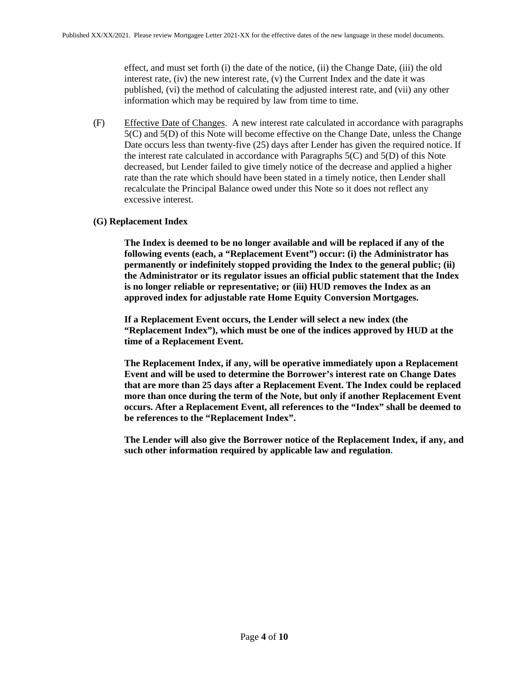effect, and must set forth (i) the date of the notice, (ii) the Change Date, (iii) the old interest rate, (iv) the new interest rate,  $(v)$  the Current Index and the date it was published, (vi) the method of calculating the adjusted interest rate, and (vii) any other information which may be required by law from time to time.

(F) Effective Date of Changes. A new interest rate calculated in accordance with paragraphs 5(C) and 5(D) of this Note will become effective on the Change Date, unless the Change Date occurs less than twenty-five (25) days after Lender has given the required notice. If the interest rate calculated in accordance with Paragraphs 5(C) and 5(D) of this Note decreased, but Lender failed to give timely notice of the decrease and applied a higher rate than the rate which should have been stated in a timely notice, then Lender shall recalculate the Principal Balance owed under this Note so it does not reflect any excessive interest.

### **(G) Replacement Index**

**The Index is deemed to be no longer available and will be replaced if any of the following events (each, a "Replacement Event") occur: (i) the Administrator has permanently or indefinitely stopped providing the Index to the general public; (ii) the Administrator or its regulator issues an official public statement that the Index is no longer reliable or representative; or (iii) HUD removes the Index as an approved index for adjustable rate Home Equity Conversion Mortgages.**

**If a Replacement Event occurs, the Lender will select a new index (the "Replacement Index"), which must be one of the indices approved by HUD at the time of a Replacement Event.**

**The Replacement Index, if any, will be operative immediately upon a Replacement Event and will be used to determine the Borrower's interest rate on Change Dates that are more than 25 days after a Replacement Event. The Index could be replaced more than once during the term of the Note, but only if another Replacement Event occurs. After a Replacement Event, all references to the "Index" shall be deemed to be references to the "Replacement Index".**

**The Lender will also give the Borrower notice of the Replacement Index, if any, and such other information required by applicable law and regulation.**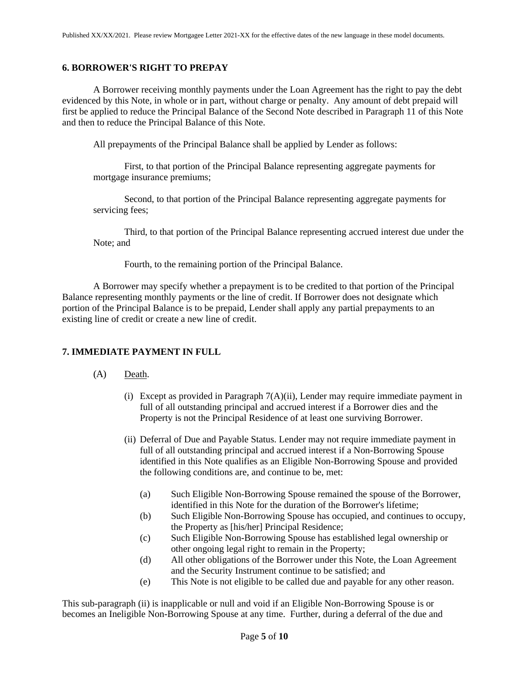#### **6. BORROWER'S RIGHT TO PREPAY**

A Borrower receiving monthly payments under the Loan Agreement has the right to pay the debt evidenced by this Note, in whole or in part, without charge or penalty. Any amount of debt prepaid will first be applied to reduce the Principal Balance of the Second Note described in Paragraph 11 of this Note and then to reduce the Principal Balance of this Note.

All prepayments of the Principal Balance shall be applied by Lender as follows:

First, to that portion of the Principal Balance representing aggregate payments for mortgage insurance premiums;

Second, to that portion of the Principal Balance representing aggregate payments for servicing fees;

Third, to that portion of the Principal Balance representing accrued interest due under the Note; and

Fourth, to the remaining portion of the Principal Balance.

A Borrower may specify whether a prepayment is to be credited to that portion of the Principal Balance representing monthly payments or the line of credit. If Borrower does not designate which portion of the Principal Balance is to be prepaid, Lender shall apply any partial prepayments to an existing line of credit or create a new line of credit.

# **7. IMMEDIATE PAYMENT IN FULL**

- (A) Death.
	- (i) Except as provided in Paragraph 7(A)(ii), Lender may require immediate payment in full of all outstanding principal and accrued interest if a Borrower dies and the Property is not the Principal Residence of at least one surviving Borrower.
	- (ii) Deferral of Due and Payable Status. Lender may not require immediate payment in full of all outstanding principal and accrued interest if a Non-Borrowing Spouse identified in this Note qualifies as an Eligible Non-Borrowing Spouse and provided the following conditions are, and continue to be, met:
		- (a) Such Eligible Non-Borrowing Spouse remained the spouse of the Borrower, identified in this Note for the duration of the Borrower's lifetime;
		- (b) Such Eligible Non-Borrowing Spouse has occupied, and continues to occupy, the Property as [his/her] Principal Residence;
		- (c) Such Eligible Non-Borrowing Spouse has established legal ownership or other ongoing legal right to remain in the Property;
		- (d) All other obligations of the Borrower under this Note, the Loan Agreement and the Security Instrument continue to be satisfied; and
		- (e) This Note is not eligible to be called due and payable for any other reason.

This sub-paragraph (ii) is inapplicable or null and void if an Eligible Non-Borrowing Spouse is or becomes an Ineligible Non-Borrowing Spouse at any time. Further, during a deferral of the due and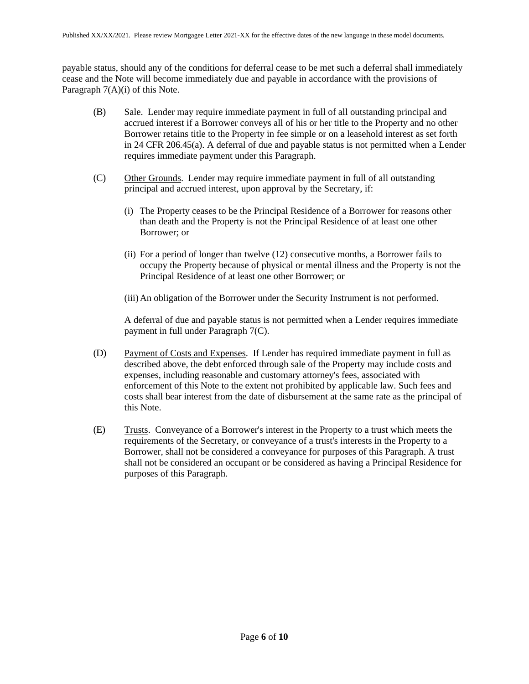payable status, should any of the conditions for deferral cease to be met such a deferral shall immediately cease and the Note will become immediately due and payable in accordance with the provisions of Paragraph 7(A)(i) of this Note.

- (B) Sale. Lender may require immediate payment in full of all outstanding principal and accrued interest if a Borrower conveys all of his or her title to the Property and no other Borrower retains title to the Property in fee simple or on a leasehold interest as set forth in 24 CFR 206.45(a). A deferral of due and payable status is not permitted when a Lender requires immediate payment under this Paragraph.
- (C) Other Grounds. Lender may require immediate payment in full of all outstanding principal and accrued interest, upon approval by the Secretary, if:
	- (i) The Property ceases to be the Principal Residence of a Borrower for reasons other than death and the Property is not the Principal Residence of at least one other Borrower; or
	- (ii) For a period of longer than twelve (12) consecutive months, a Borrower fails to occupy the Property because of physical or mental illness and the Property is not the Principal Residence of at least one other Borrower; or

(iii)An obligation of the Borrower under the Security Instrument is not performed.

A deferral of due and payable status is not permitted when a Lender requires immediate payment in full under Paragraph 7(C).

- (D) Payment of Costs and Expenses. If Lender has required immediate payment in full as described above, the debt enforced through sale of the Property may include costs and expenses, including reasonable and customary attorney's fees, associated with enforcement of this Note to the extent not prohibited by applicable law. Such fees and costs shall bear interest from the date of disbursement at the same rate as the principal of this Note.
- (E) Trusts. Conveyance of a Borrower's interest in the Property to a trust which meets the requirements of the Secretary, or conveyance of a trust's interests in the Property to a Borrower, shall not be considered a conveyance for purposes of this Paragraph. A trust shall not be considered an occupant or be considered as having a Principal Residence for purposes of this Paragraph.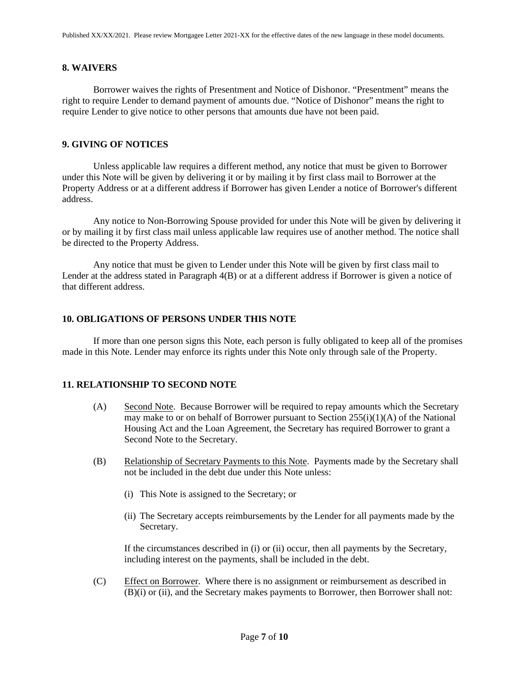#### **8. WAIVERS**

Borrower waives the rights of Presentment and Notice of Dishonor. "Presentment" means the right to require Lender to demand payment of amounts due. "Notice of Dishonor" means the right to require Lender to give notice to other persons that amounts due have not been paid.

#### **9. GIVING OF NOTICES**

Unless applicable law requires a different method, any notice that must be given to Borrower under this Note will be given by delivering it or by mailing it by first class mail to Borrower at the Property Address or at a different address if Borrower has given Lender a notice of Borrower's different address.

Any notice to Non-Borrowing Spouse provided for under this Note will be given by delivering it or by mailing it by first class mail unless applicable law requires use of another method. The notice shall be directed to the Property Address.

Any notice that must be given to Lender under this Note will be given by first class mail to Lender at the address stated in Paragraph 4(B) or at a different address if Borrower is given a notice of that different address.

#### **10. OBLIGATIONS OF PERSONS UNDER THIS NOTE**

If more than one person signs this Note, each person is fully obligated to keep all of the promises made in this Note. Lender may enforce its rights under this Note only through sale of the Property.

#### **11. RELATIONSHIP TO SECOND NOTE**

- (A) Second Note. Because Borrower will be required to repay amounts which the Secretary may make to or on behalf of Borrower pursuant to Section  $255(i)(1)(A)$  of the National Housing Act and the Loan Agreement, the Secretary has required Borrower to grant a Second Note to the Secretary.
- (B) Relationship of Secretary Payments to this Note. Payments made by the Secretary shall not be included in the debt due under this Note unless:
	- (i) This Note is assigned to the Secretary; or
	- (ii) The Secretary accepts reimbursements by the Lender for all payments made by the Secretary.

If the circumstances described in (i) or (ii) occur, then all payments by the Secretary, including interest on the payments, shall be included in the debt.

(C) Effect on Borrower. Where there is no assignment or reimbursement as described in (B)(i) or (ii), and the Secretary makes payments to Borrower, then Borrower shall not: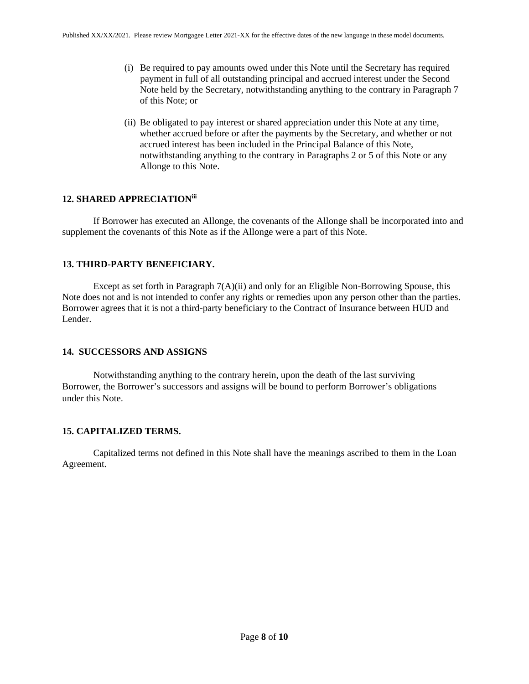- (i) Be required to pay amounts owed under this Note until the Secretary has required payment in full of all outstanding principal and accrued interest under the Second Note held by the Secretary, notwithstanding anything to the contrary in Paragraph 7 of this Note; or
- (ii) Be obligated to pay interest or shared appreciation under this Note at any time, whether accrued before or after the payments by the Secretary, and whether or not accrued interest has been included in the Principal Balance of this Note, notwithstanding anything to the contrary in Paragraphs 2 or 5 of this Note or any Allonge to this Note.

### **12. SHARED APPRECIATIONiii**

If Borrower has executed an Allonge, the covenants of the Allonge shall be incorporated into and supplement the covenants of this Note as if the Allonge were a part of this Note.

# **13. THIRD-PARTY BENEFICIARY.**

Except as set forth in Paragraph  $7(A)(ii)$  and only for an Eligible Non-Borrowing Spouse, this Note does not and is not intended to confer any rights or remedies upon any person other than the parties. Borrower agrees that it is not a third-party beneficiary to the Contract of Insurance between HUD and Lender.

### **14. SUCCESSORS AND ASSIGNS**

Notwithstanding anything to the contrary herein, upon the death of the last surviving Borrower, the Borrower's successors and assigns will be bound to perform Borrower's obligations under this Note.

### **15. CAPITALIZED TERMS.**

Capitalized terms not defined in this Note shall have the meanings ascribed to them in the Loan Agreement.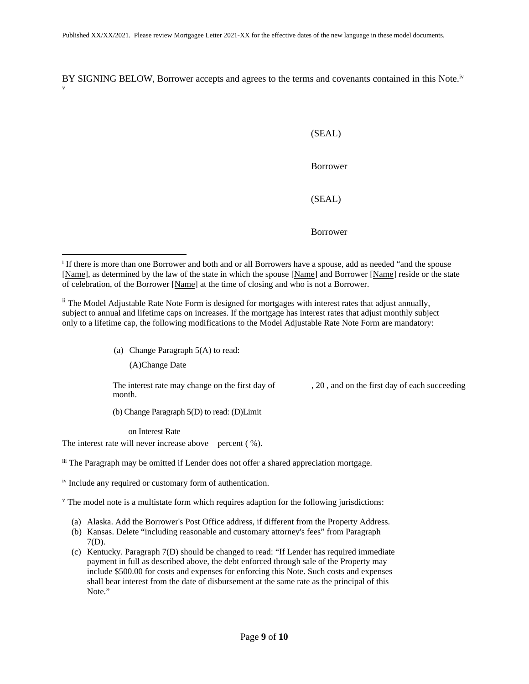BY SIGNING BELOW, Borrower accepts and agrees to the terms and covenants contained in this Note.<sup>iv</sup> v

(SEAL)

Borrower

(SEAL)

Borrower

(a) Change Paragraph 5(A) to read:

(A)Change Date

The interest rate may change on the first day of , 20, and on the first day of each succeeding month.

(b) Change Paragraph 5(D) to read: (D)Limit

on Interest Rate

The interest rate will never increase above percent (%).

iv Include any required or customary form of authentication.

 $\gamma$  The model note is a multistate form which requires adaption for the following jurisdictions:

- (a) Alaska. Add the Borrower's Post Office address, if different from the Property Address.
- (b) Kansas. Delete "including reasonable and customary attorney's fees" from Paragraph 7(D).
- (c) Kentucky. Paragraph 7(D) should be changed to read: "If Lender has required immediate payment in full as described above, the debt enforced through sale of the Property may include \$500.00 for costs and expenses for enforcing this Note. Such costs and expenses shall bear interest from the date of disbursement at the same rate as the principal of this Note."

<sup>&</sup>lt;sup>i</sup> If there is more than one Borrower and both and or all Borrowers have a spouse, add as needed "and the spouse [Name], as determined by the law of the state in which the spouse [Name] and Borrower [Name] reside or the state of celebration, of the Borrower [Name] at the time of closing and who is not a Borrower.

<sup>&</sup>lt;sup>ii</sup> The Model Adjustable Rate Note Form is designed for mortgages with interest rates that adjust annually, subject to annual and lifetime caps on increases. If the mortgage has interest rates that adjust monthly subject only to a lifetime cap, the following modifications to the Model Adjustable Rate Note Form are mandatory:

iii The Paragraph may be omitted if Lender does not offer a shared appreciation mortgage.